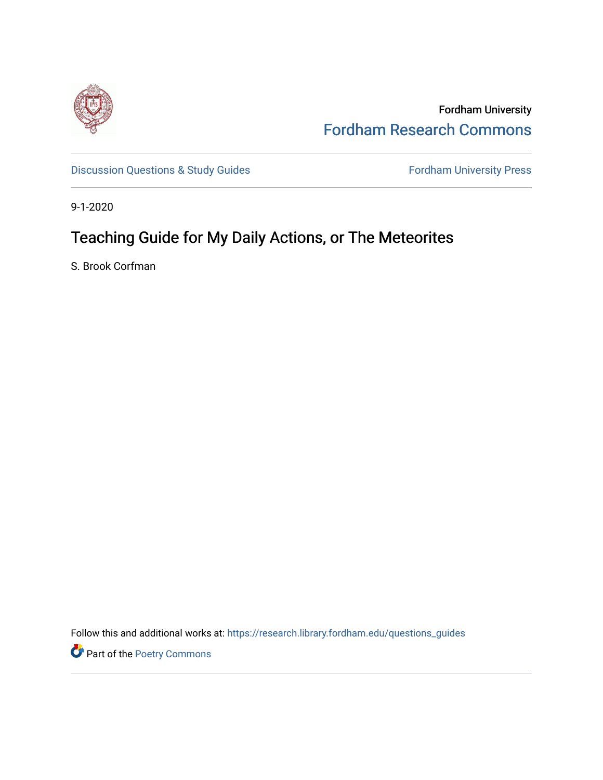

Fordham University [Fordham Research Commons](https://research.library.fordham.edu/) 

[Discussion Questions & Study Guides](https://research.library.fordham.edu/questions_guides) Fordham University Press

9-1-2020

# Teaching Guide for My Daily Actions, or The Meteorites

S. Brook Corfman

Follow this and additional works at: [https://research.library.fordham.edu/questions\\_guides](https://research.library.fordham.edu/questions_guides?utm_source=research.library.fordham.edu%2Fquestions_guides%2F1&utm_medium=PDF&utm_campaign=PDFCoverPages) 

Part of the [Poetry Commons](https://network.bepress.com/hgg/discipline/1153?utm_source=research.library.fordham.edu%2Fquestions_guides%2F1&utm_medium=PDF&utm_campaign=PDFCoverPages)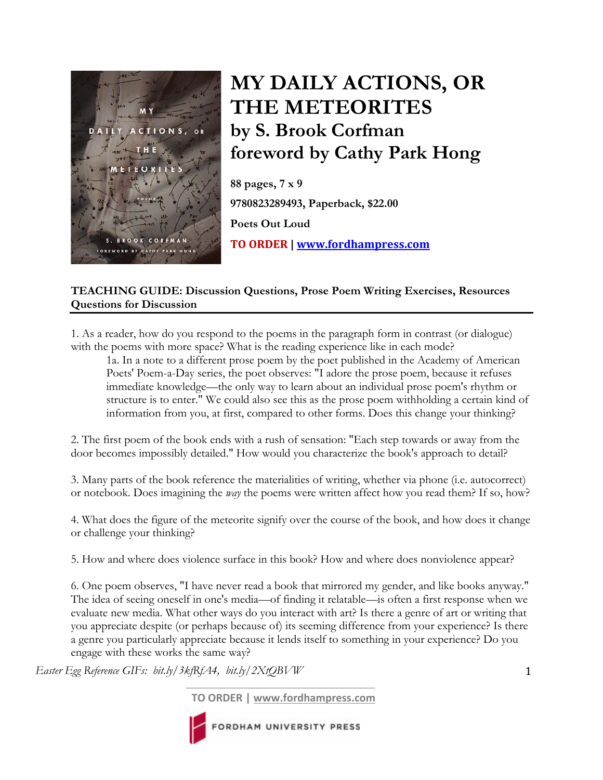

# **MY DAILY ACTIONS, OR THE METEORITES by S. Brook Corfman foreword by Cathy Park Hong**

**88 pages, 7 x 9 9780823289493, Paperback, \$22.00 Poets Out Loud TO ORDER | www.fordhampress.com**

# **TEACHING GUIDE: Discussion Questions, Prose Poem Writing Exercises, Resources Questions for Discussion**

1. As a reader, how do you respond to the poems in the paragraph form in contrast (or dialogue) with the poems with more space? What is the reading experience like in each mode?

1a. In a note to a different prose poem by the poet published in the Academy of American Poets' Poem-a-Day series, the poet observes: "I adore the prose poem, because it refuses immediate knowledge—the only way to learn about an individual prose poem's rhythm or structure is to enter." We could also see this as the prose poem withholding a certain kind of information from you, at first, compared to other forms. Does this change your thinking?

2. The first poem of the book ends with a rush of sensation: "Each step towards or away from the door becomes impossibly detailed." How would you characterize the book's approach to detail?

3. Many parts of the book reference the materialities of writing, whether via phone (i.e. autocorrect) or notebook. Does imagining the *way* the poems were written affect how you read them? If so, how?

4. What does the figure of the meteorite signify over the course of the book, and how does it change or challenge your thinking?

5. How and where does violence surface in this book? How and where does nonviolence appear?

6. One poem observes, "I have never read a book that mirrored my gender, and like books anyway." The idea of seeing oneself in one's media—of finding it relatable—is often a first response when we evaluate new media. What other ways do you interact with art? Is there a genre of art or writing that you appreciate despite (or perhaps because of) its seeming difference from your experience? Is there a genre you particularly appreciate because it lends itself to something in your experience? Do you engage with these works the same way?

*Easter Egg Reference GIFs: bit.ly/3kfRfA4, bit.ly/2XtQBVW* 

**TO ORDER | www.fordhampress.com**

 $\overline{\phantom{a}}$  , and the set of the set of the set of the set of the set of the set of the set of the set of the set of the set of the set of the set of the set of the set of the set of the set of the set of the set of the s



FORDHAM UNIVERSITY PRESS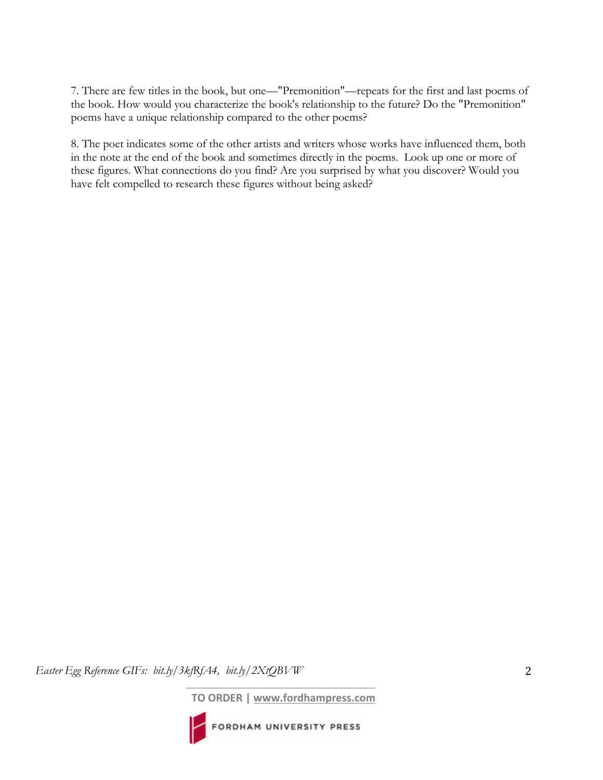7. There are few titles in the book, but one—"Premonition"—repeats for the first and last poems of the book. How would you characterize the book's relationship to the future? Do the "Premonition" poems have a unique relationship compared to the other poems?

8. The poet indicates some of the other artists and writers whose works have influenced them, both in the note at the end of the book and sometimes directly in the poems. Look up one or more of these figures. What connections do you find? Are you surprised by what you discover? Would you have felt compelled to research these figures without being asked?

*Easter Egg Reference GIFs: bit.ly/3kfRfA4, bit.ly/2XtQBVW* 

**TO ORDER | www.fordhampress.com**

 $\overline{\phantom{a}}$  , and the set of the set of the set of the set of the set of the set of the set of the set of the set of the set of the set of the set of the set of the set of the set of the set of the set of the set of the s

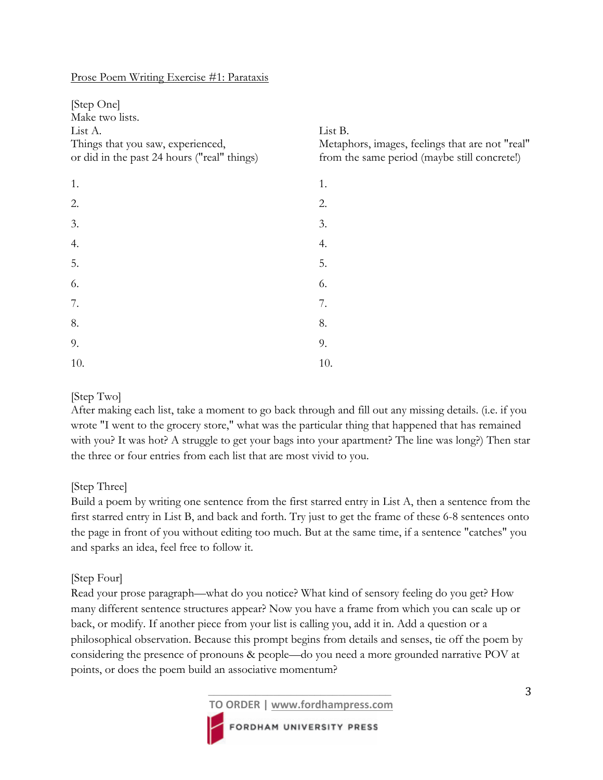#### Prose Poem Writing Exercise #1: Parataxis

| [Step One]<br>Make two lists.<br>List A.<br>Things that you saw, experienced,<br>or did in the past 24 hours ("real" things) | List B.<br>Metaphors, images, feelings that are not "real"<br>from the same period (maybe still concrete!) |
|------------------------------------------------------------------------------------------------------------------------------|------------------------------------------------------------------------------------------------------------|
| 1.                                                                                                                           | 1.                                                                                                         |
| 2.                                                                                                                           | 2.                                                                                                         |
| 3.                                                                                                                           | 3.                                                                                                         |
| 4.                                                                                                                           | 4.                                                                                                         |
| 5.                                                                                                                           | 5.                                                                                                         |
| 6.                                                                                                                           | 6.                                                                                                         |
| 7.                                                                                                                           | 7.                                                                                                         |
| 8.                                                                                                                           | 8.                                                                                                         |
| 9.                                                                                                                           | 9.                                                                                                         |
| 10.                                                                                                                          | 10.                                                                                                        |

# [Step Two]

After making each list, take a moment to go back through and fill out any missing details. (i.e. if you wrote "I went to the grocery store," what was the particular thing that happened that has remained with you? It was hot? A struggle to get your bags into your apartment? The line was long?) Then star the three or four entries from each list that are most vivid to you.

# [Step Three]

Build a poem by writing one sentence from the first starred entry in List A, then a sentence from the first starred entry in List B, and back and forth. Try just to get the frame of these 6-8 sentences onto the page in front of you without editing too much. But at the same time, if a sentence "catches" you and sparks an idea, feel free to follow it.

#### [Step Four]

Read your prose paragraph—what do you notice? What kind of sensory feeling do you get? How many different sentence structures appear? Now you have a frame from which you can scale up or back, or modify. If another piece from your list is calling you, add it in. Add a question or a philosophical observation. Because this prompt begins from details and senses, tie off the poem by considering the presence of pronouns & people—do you need a more grounded narrative POV at points, or does the poem build an associative momentum?



 $\overline{\phantom{a}}$  , and the contract of the contract of the contract of the contract of the contract of the contract of the contract of the contract of the contract of the contract of the contract of the contract of the contrac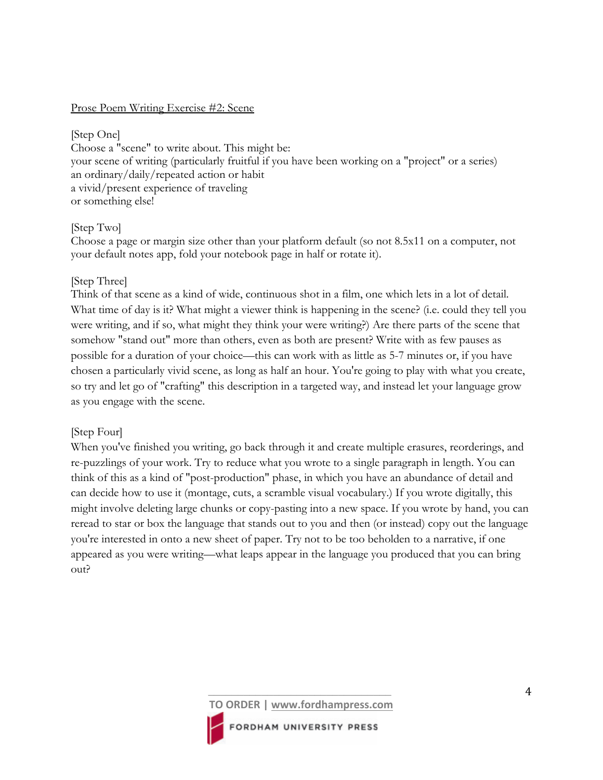#### Prose Poem Writing Exercise #2: Scene

[Step One] Choose a "scene" to write about. This might be: your scene of writing (particularly fruitful if you have been working on a "project" or a series) an ordinary/daily/repeated action or habit a vivid/present experience of traveling or something else!

# [Step Two]

Choose a page or margin size other than your platform default (so not 8.5x11 on a computer, not your default notes app, fold your notebook page in half or rotate it).

# [Step Three]

Think of that scene as a kind of wide, continuous shot in a film, one which lets in a lot of detail. What time of day is it? What might a viewer think is happening in the scene? (i.e. could they tell you were writing, and if so, what might they think your were writing?) Are there parts of the scene that somehow "stand out" more than others, even as both are present? Write with as few pauses as possible for a duration of your choice—this can work with as little as 5-7 minutes or, if you have chosen a particularly vivid scene, as long as half an hour. You're going to play with what you create, so try and let go of "crafting" this description in a targeted way, and instead let your language grow as you engage with the scene.

# [Step Four]

When you've finished you writing, go back through it and create multiple erasures, reorderings, and re-puzzlings of your work. Try to reduce what you wrote to a single paragraph in length. You can think of this as a kind of "post-production" phase, in which you have an abundance of detail and can decide how to use it (montage, cuts, a scramble visual vocabulary.) If you wrote digitally, this might involve deleting large chunks or copy-pasting into a new space. If you wrote by hand, you can reread to star or box the language that stands out to you and then (or instead) copy out the language you're interested in onto a new sheet of paper. Try not to be too beholden to a narrative, if one appeared as you were writing—what leaps appear in the language you produced that you can bring out?

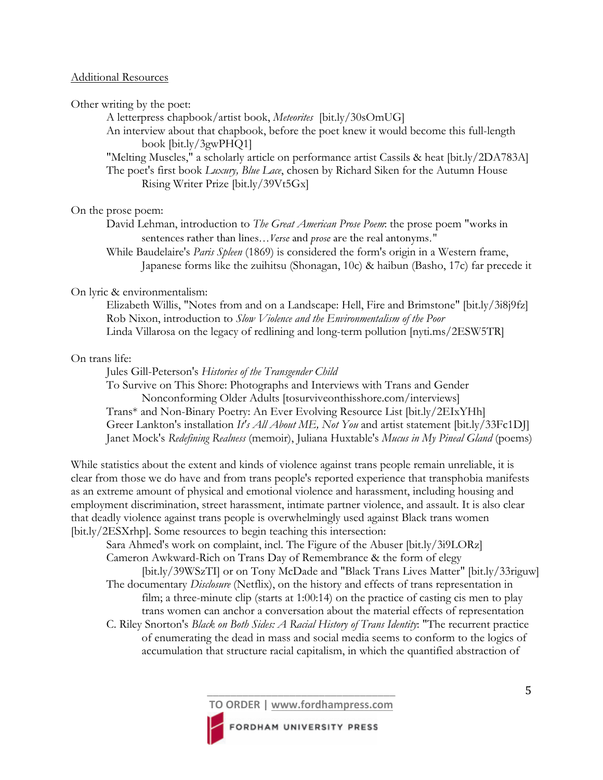#### Additional Resources

Other writing by the poet:

A letterpress chapbook/artist book, *Meteorites* [bit.ly/30sOmUG]

An interview about that chapbook, before the poet knew it would become this full-length book [bit.ly/3gwPHQ1]

"Melting Muscles," a scholarly article on performance artist Cassils & heat [bit.ly/2DA783A] The poet's first book *Luxury, Blue Lace*, chosen by Richard Siken for the Autumn House Rising Writer Prize [bit.ly/39Vt5Gx]

#### On the prose poem:

David Lehman, introduction to *The Great American Prose Poem*: the prose poem "works in sentences rather than lines...*Verse* and *prose* are the real antonyms."

While Baudelaire's *Paris Spleen* (1869) is considered the form's origin in a Western frame, Japanese forms like the zuihitsu (Shonagan, 10c) & haibun (Basho, 17c) far precede it

#### On lyric & environmentalism:

Elizabeth Willis, "Notes from and on a Landscape: Hell, Fire and Brimstone" [bit.ly/3i8j9fz] Rob Nixon, introduction to *Slow Violence and the Environmentalism of the Poor*  Linda Villarosa on the legacy of redlining and long-term pollution [nyti.ms/2ESW5TR]

# On trans life:

Jules Gill-Peterson's *Histories of the Transgender Child* 

To Survive on This Shore: Photographs and Interviews with Trans and Gender Nonconforming Older Adults [tosurviveonthisshore.com/interviews] Trans\* and Non-Binary Poetry: An Ever Evolving Resource List [bit.ly/2EIxYHh] Greer Lankton's installation *It's All About ME, Not You* and artist statement [bit.ly/33Fc1DJ] Janet Mock's *Redefining Realness* (memoir), Juliana Huxtable's *Mucus in My Pineal Gland* (poems)

While statistics about the extent and kinds of violence against trans people remain unreliable, it is clear from those we do have and from trans people's reported experience that transphobia manifests as an extreme amount of physical and emotional violence and harassment, including housing and employment discrimination, street harassment, intimate partner violence, and assault. It is also clear that deadly violence against trans people is overwhelmingly used against Black trans women [bit.ly/2ESXrhp]. Some resources to begin teaching this intersection:

Sara Ahmed's work on complaint, incl. The Figure of the Abuser [bit.ly/3i9LORz] Cameron Awkward-Rich on Trans Day of Remembrance & the form of elegy [bit.ly/39WSzTI] or on Tony McDade and "Black Trans Lives Matter" [bit.ly/33riguw]

The documentary *Disclosure* (Netflix), on the history and effects of trans representation in film; a three-minute clip (starts at 1:00:14) on the practice of casting cis men to play trans women can anchor a conversation about the material effects of representation C. Riley Snorton's *Black on Both Sides: A Racial History of Trans Identity*: "The recurrent practice

of enumerating the dead in mass and social media seems to conform to the logics of accumulation that structure racial capitalism, in which the quantified abstraction of